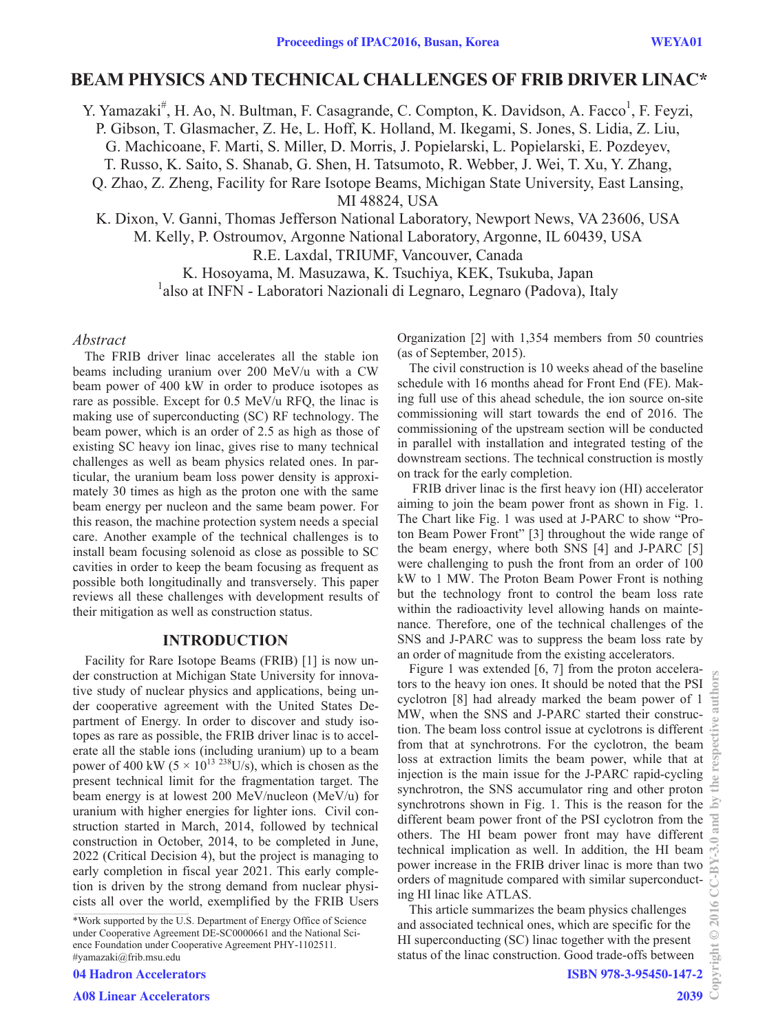# **BEAM PHYSICS AND TECHNICAL CHALLENGES OF FRIB DRIVER LINAC\***

Y. Yamazaki<sup>#</sup>, H. Ao, N. Bultman, F. Casagrande, C. Compton, K. Davidson, A. Facco<sup>1</sup>, F. Feyzi, P. Gibson, T. Glasmacher, Z. He, L. Hoff, K. Holland, M. Ikegami, S. Jones, S. Lidia, Z. Liu, G. Machicoane, F. Marti, S. Miller, D. Morris, J. Popielarski, L. Popielarski, E. Pozdeyev, T. Russo, K. Saito, S. Shanab, G. Shen, H. Tatsumoto, R. Webber, J. Wei, T. Xu, Y. Zhang, Q. Zhao, Z. Zheng, Facility for Rare Isotope Beams, Michigan State University, East Lansing,

MI 48824, USA

K. Dixon, V. Ganni, Thomas Jefferson National Laboratory, Newport News, VA 23606, USA

M. Kelly, P. Ostroumov, Argonne National Laboratory, Argonne, IL 60439, USA

R.E. Laxdal, TRIUMF, Vancouver, Canada

K. Hosoyama, M. Masuzawa, K. Tsuchiya, KEK, Tsukuba, Japan <sup>1</sup>also at INFN - Laboratori Nazionali di Legnaro, Legnaro (Padova), Italy

#### *Abstract*

The FRIB driver linac accelerates all the stable ion beams including uranium over 200 MeV/u with a CW beam power of 400 kW in order to produce isotopes as rare as possible. Except for 0.5 MeV/u RFQ, the linac is making use of superconducting (SC) RF technology. The beam power, which is an order of 2.5 as high as those of existing SC heavy ion linac, gives rise to many technical challenges as well as beam physics related ones. In particular, the uranium beam loss power density is approximately 30 times as high as the proton one with the same beam energy per nucleon and the same beam power. For this reason, the machine protection system needs a special care. Another example of the technical challenges is to install beam focusing solenoid as close as possible to SC cavities in order to keep the beam focusing as frequent as possible both longitudinally and transversely. This paper reviews all these challenges with development results of their mitigation as well as construction status.

## **INTRODUCTION**

Facility for Rare Isotope Beams (FRIB) [1] is now under construction at Michigan State University for innovative study of nuclear physics and applications, being under cooperative agreement with the United States Department of Energy. In order to discover and study isotopes as rare as possible, the FRIB driver linac is to accelerate all the stable ions (including uranium) up to a beam power of 400 kW ( $5 \times 10^{13}$  <sup>238</sup>U/s), which is chosen as the present technical limit for the fragmentation target. The beam energy is at lowest 200 MeV/nucleon (MeV/u) for uranium with higher energies for lighter ions. Civil construction started in March, 2014, followed by technical construction in October, 2014, to be completed in June, 2022 (Critical Decision 4), but the project is managing to early completion in fiscal year 2021. This early completion is driven by the strong demand from nuclear physicists all over the world, exemplified by the FRIB Users

\*Work supported by the U.S. Department of Energy Office of Science under Cooperative Agreement DE-SC0000661 and the National Science Foundation under Cooperative Agreement PHY-1102511. #yamazaki@frib.msu.edu

04 Hadron Accelerators

Organization [2] with 1,354 members from 50 countries (as of September, 2015).

The civil construction is 10 weeks ahead of the baseline schedule with 16 months ahead for Front End (FE). Making full use of this ahead schedule, the ion source on-site commissioning will start towards the end of 2016. The commissioning of the upstream section will be conducted in parallel with installation and integrated testing of the downstream sections. The technical construction is mostly on track for the early completion.

 FRIB driver linac is the first heavy ion (HI) accelerator aiming to join the beam power front as shown in Fig. 1. The Chart like Fig. 1 was used at J-PARC to show "Proton Beam Power Front" [3] throughout the wide range of the beam energy, where both SNS [4] and J-PARC [5] were challenging to push the front from an order of 100 kW to 1 MW. The Proton Beam Power Front is nothing but the technology front to control the beam loss rate within the radioactivity level allowing hands on maintenance. Therefore, one of the technical challenges of the SNS and J-PARC was to suppress the beam loss rate by an order of magnitude from the existing accelerators.

Figure 1 was extended [6, 7] from the proton accelerators to the heavy ion ones. It should be noted that the PSI cyclotron [8] had already marked the beam power of 1 MW, when the SNS and J-PARC started their construction. The beam loss control issue at cyclotrons is different from that at synchrotrons. For the cyclotron, the beam loss at extraction limits the beam power, while that at injection is the main issue for the J-PARC rapid-cycling synchrotron, the SNS accumulator ring and other proton synchrotrons shown in Fig. 1. This is the reason for the different beam power front of the PSI cyclotron from the others. The HI beam power front may have different technical implication as well. In addition, the HI beam power increase in the FRIB driver linac is more than two orders of magnitude compared with similar superconducting HI linac like ATLAS.

This article summarizes the beam physics challenges and associated technical ones, which are specific for the HI superconducting (SC) linac together with the present status of the linac construction. Good trade-offs between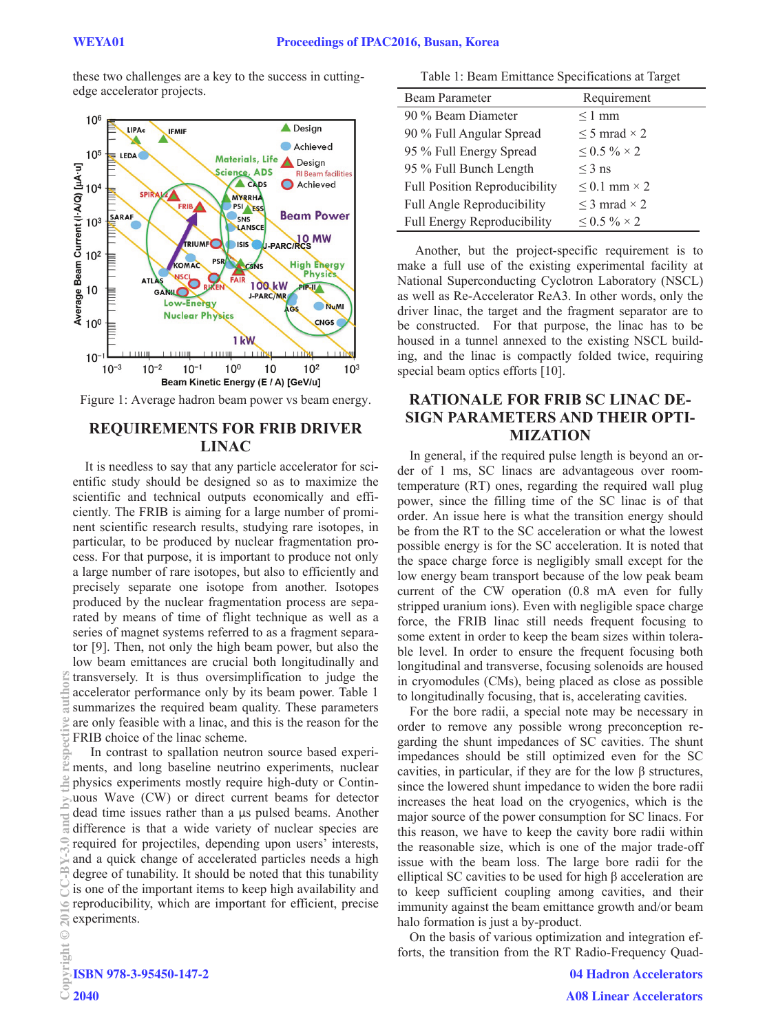these two challenges are a key to the success in cuttingedge accelerator projects.



Figure 1: Average hadron beam power vs beam energy.

# **REQUIREMENTS FOR FRIB DRIVER LINAC**

It is needless to say that any particle accelerator for scientific study should be designed so as to maximize the scientific and technical outputs economically and efficiently. The FRIB is aiming for a large number of prominent scientific research results, studying rare isotopes, in particular, to be produced by nuclear fragmentation process. For that purpose, it is important to produce not only a large number of rare isotopes, but also to efficiently and precisely separate one isotope from another. Isotopes produced by the nuclear fragmentation process are separated by means of time of flight technique as well as a series of magnet systems referred to as a fragment separator [9]. Then, not only the high beam power, but also the low beam emittances are crucial both longitudinally and transversely. It is thus oversimplification to judge the accelerator performance only by its beam power. Table 1 summarizes the required beam quality. These parameters are only feasible with a linac, and this is the reason for the FRIB choice of the linac scheme.

In contrast to spallation neutron source based experiments, and long baseline neutrino experiments, nuclear physics experiments mostly require high-duty or Continuous Wave (CW) or direct current beams for detector dead time issues rather than a  $\mu s$  pulsed beams. Another difference is that a wide variety of nuclear species are required for projectiles, depending upon users' interests, and a quick change of accelerated particles needs a high degree of tunability. It should be noted that this tunability is one of the important items to keep high availability and reproducibility, which are important for efficient, precise experiments. Copyright Copyright Copyright Copyright Copyright Copyright Copyright Copyright Copyright Copyright Copyright Copyright Copyright Copyright Copyright Copyright Copyright Copyright Copyright Copyright Copyright Copyright C

| Table 1: Beam Emittance Specifications at Target |                          |  |  |  |
|--------------------------------------------------|--------------------------|--|--|--|
| Beam Parameter                                   | Requirement              |  |  |  |
| 90 % Beam Diameter                               | $\leq$ 1 mm              |  |  |  |
| 90 % Full Angular Spread                         | $\leq$ 5 mrad $\times$ 2 |  |  |  |
| 95 % Full Energy Spread                          | $\leq$ 0.5 % $\times$ 2  |  |  |  |
| 95 % Full Bunch Length                           | $\leq$ 3 ns              |  |  |  |
| <b>Full Position Reproducibility</b>             | $\leq$ 0.1 mm $\times$ 2 |  |  |  |
| Full Angle Reproducibility                       | $\leq$ 3 mrad $\times$ 2 |  |  |  |
| <b>Full Energy Reproducibility</b>               | $0.5\% \times 2$         |  |  |  |

Another, but the project-specific requirement is to make a full use of the existing experimental facility at National Superconducting Cyclotron Laboratory (NSCL) as well as Re-Accelerator ReA3. In other words, only the driver linac, the target and the fragment separator are to be constructed. For that purpose, the linac has to be housed in a tunnel annexed to the existing NSCL building, and the linac is compactly folded twice, requiring special beam optics efforts [10].

# **RATIONALE FOR FRIB SC LINAC DE-SIGN PARAMETERS AND THEIR OPTI-MIZATION**

In general, if the required pulse length is beyond an order of 1 ms, SC linacs are advantageous over roomtemperature (RT) ones, regarding the required wall plug power, since the filling time of the SC linac is of that order. An issue here is what the transition energy should be from the RT to the SC acceleration or what the lowest possible energy is for the SC acceleration. It is noted that the space charge force is negligibly small except for the low energy beam transport because of the low peak beam current of the CW operation (0.8 mA even for fully stripped uranium ions). Even with negligible space charge force, the FRIB linac still needs frequent focusing to some extent in order to keep the beam sizes within tolerable level. In order to ensure the frequent focusing both longitudinal and transverse, focusing solenoids are housed in cryomodules (CMs), being placed as close as possible to longitudinally focusing, that is, accelerating cavities.

For the bore radii, a special note may be necessary in order to remove any possible wrong preconception regarding the shunt impedances of SC cavities. The shunt impedances should be still optimized even for the SC cavities, in particular, if they are for the low  $\beta$  structures, since the lowered shunt impedance to widen the bore radii increases the heat load on the cryogenics, which is the major source of the power consumption for SC linacs. For this reason, we have to keep the cavity bore radii within the reasonable size, which is one of the major trade-off issue with the beam loss. The large bore radii for the elliptical SC cavities to be used for high  $\beta$  acceleration are to keep sufficient coupling among cavities, and their immunity against the beam emittance growth and/or beam halo formation is just a by-product.

On the basis of various optimization and integration efforts, the transition from the RT Radio-Frequency Quad-

Ċ **CO**  $\odot$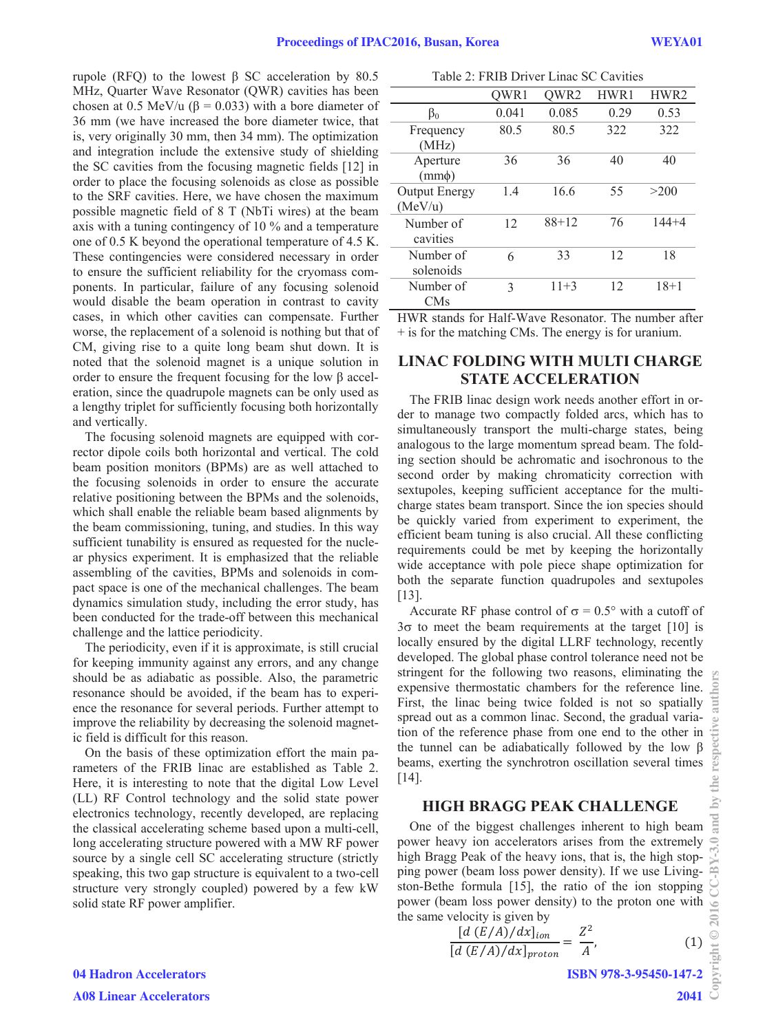rupole (RFQ) to the lowest  $\beta$  SC acceleration by 80.5 MHz, Quarter Wave Resonator (QWR) cavities has been chosen at 0.5 MeV/u ( $\beta$  = 0.033) with a bore diameter of 36 mm (we have increased the bore diameter twice, that is, very originally 30 mm, then 34 mm). The optimization and integration include the extensive study of shielding the SC cavities from the focusing magnetic fields [12] in order to place the focusing solenoids as close as possible to the SRF cavities. Here, we have chosen the maximum possible magnetic field of 8 T (NbTi wires) at the beam axis with a tuning contingency of 10 % and a temperature one of 0.5 K beyond the operational temperature of 4.5 K. These contingencies were considered necessary in order to ensure the sufficient reliability for the cryomass components. In particular, failure of any focusing solenoid would disable the beam operation in contrast to cavity cases, in which other cavities can compensate. Further worse, the replacement of a solenoid is nothing but that of CM, giving rise to a quite long beam shut down. It is noted that the solenoid magnet is a unique solution in order to ensure the frequent focusing for the low  $\beta$  acceleration, since the quadrupole magnets can be only used as a lengthy triplet for sufficiently focusing both horizontally and vertically.

The focusing solenoid magnets are equipped with corrector dipole coils both horizontal and vertical. The cold beam position monitors (BPMs) are as well attached to the focusing solenoids in order to ensure the accurate relative positioning between the BPMs and the solenoids, which shall enable the reliable beam based alignments by the beam commissioning, tuning, and studies. In this way sufficient tunability is ensured as requested for the nuclear physics experiment. It is emphasized that the reliable assembling of the cavities, BPMs and solenoids in compact space is one of the mechanical challenges. The beam dynamics simulation study, including the error study, has been conducted for the trade-off between this mechanical challenge and the lattice periodicity.

The periodicity, even if it is approximate, is still crucial for keeping immunity against any errors, and any change should be as adiabatic as possible. Also, the parametric resonance should be avoided, if the beam has to experience the resonance for several periods. Further attempt to improve the reliability by decreasing the solenoid magnetic field is difficult for this reason.

On the basis of these optimization effort the main parameters of the FRIB linac are established as Table 2. Here, it is interesting to note that the digital Low Level (LL) RF Control technology and the solid state power electronics technology, recently developed, are replacing the classical accelerating scheme based upon a multi-cell, long accelerating structure powered with a MW RF power source by a single cell SC accelerating structure (strictly speaking, this two gap structure is equivalent to a two-cell structure very strongly coupled) powered by a few kW solid state RF power amplifier.

| Table 2: FRIB Driver Linac SC Cavities |  |
|----------------------------------------|--|
|----------------------------------------|--|

|                      | OWR1  | QWR2    | HWR1 | HWR2      |
|----------------------|-------|---------|------|-----------|
| $\beta_0$            | 0.041 | 0.085   | 0.29 | 0.53      |
| Frequency            | 80.5  | 80.5    | 322  | 322       |
| (MHz)                |       |         |      |           |
| Aperture             | 36    | 36      | 40   | 40        |
| $(mm\phi)$           |       |         |      |           |
| <b>Output Energy</b> | 1.4   | 16.6    | 55   | >200      |
| (MeV/u)              |       |         |      |           |
| Number of            | 12    | $88+12$ | 76   | $144 + 4$ |
| cavities             |       |         |      |           |
| Number of            | 6     | 33      | 12   | 18        |
| solenoids            |       |         |      |           |
| Number of            | 3     | $11+3$  | 12   | $18+1$    |
| <b>CMs</b>           |       |         |      |           |

HWR stands for Half-Wave Resonator. The number after + is for the matching CMs. The energy is for uranium.

# **LINAC FOLDING WITH MULTI CHARGE STATE ACCELERATION**

The FRIB linac design work needs another effort in order to manage two compactly folded arcs, which has to simultaneously transport the multi-charge states, being analogous to the large momentum spread beam. The folding section should be achromatic and isochronous to the second order by making chromaticity correction with sextupoles, keeping sufficient acceptance for the multicharge states beam transport. Since the ion species should be quickly varied from experiment to experiment, the efficient beam tuning is also crucial. All these conflicting requirements could be met by keeping the horizontally wide acceptance with pole piece shape optimization for both the separate function quadrupoles and sextupoles [13].

Accurate RF phase control of  $\sigma = 0.5^{\circ}$  with a cutoff of  $3\sigma$  to meet the beam requirements at the target [10] is locally ensured by the digital LLRF technology, recently developed. The global phase control tolerance need not be stringent for the following two reasons, eliminating the expensive thermostatic chambers for the reference line. First, the linac being twice folded is not so spatially spread out as a common linac. Second, the gradual variation of the reference phase from one end to the other in the tunnel can be adiabatically followed by the low  $\beta$ beams, exerting the synchrotron oscillation several times [14].

## **HIGH BRAGG PEAK CHALLENGE**

One of the biggest challenges inherent to high beam power heavy ion accelerators arises from the extremely high Bragg Peak of the heavy ions, that is, the high stopping power (beam loss power density). If we use Livingston-Bethe formula [15], the ratio of the ion stopping power (beam loss power density) to the proton one with the same velocity is given by

$$
\frac{[d (E/A)/dx]_{ion}}{[d (E/A)/dx]_{proton}} = \frac{Z^2}{A},
$$
\n(1)

ISBN 978-3-95450-147-2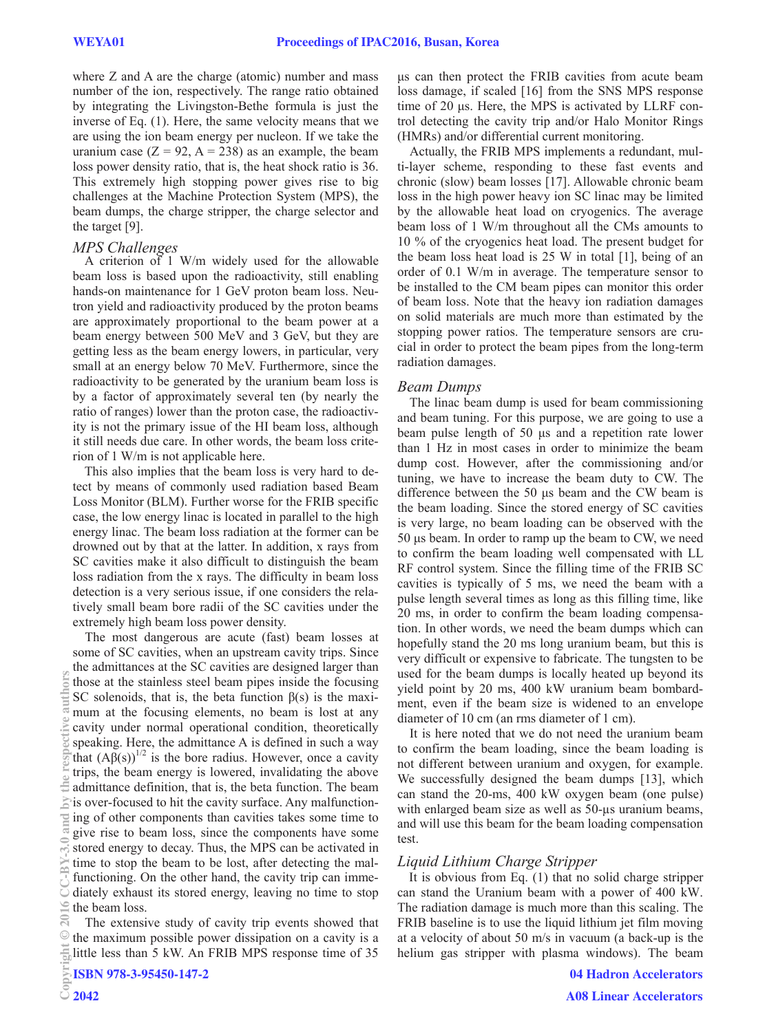where Z and A are the charge (atomic) number and mass number of the ion, respectively. The range ratio obtained by integrating the Livingston-Bethe formula is just the inverse of Eq. (1). Here, the same velocity means that we are using the ion beam energy per nucleon. If we take the uranium case  $(Z = 92, A = 238)$  as an example, the beam loss power density ratio, that is, the heat shock ratio is 36. This extremely high stopping power gives rise to big challenges at the Machine Protection System (MPS), the beam dumps, the charge stripper, the charge selector and the target [9].

## *MPS Challenges*

A criterion of 1 W/m widely used for the allowable beam loss is based upon the radioactivity, still enabling hands-on maintenance for 1 GeV proton beam loss. Neutron yield and radioactivity produced by the proton beams are approximately proportional to the beam power at a beam energy between 500 MeV and 3 GeV, but they are getting less as the beam energy lowers, in particular, very small at an energy below 70 MeV. Furthermore, since the radioactivity to be generated by the uranium beam loss is by a factor of approximately several ten (by nearly the ratio of ranges) lower than the proton case, the radioactivity is not the primary issue of the HI beam loss, although it still needs due care. In other words, the beam loss criterion of 1 W/m is not applicable here.

This also implies that the beam loss is very hard to detect by means of commonly used radiation based Beam Loss Monitor (BLM). Further worse for the FRIB specific case, the low energy linac is located in parallel to the high energy linac. The beam loss radiation at the former can be drowned out by that at the latter. In addition, x rays from SC cavities make it also difficult to distinguish the beam loss radiation from the x rays. The difficulty in beam loss detection is a very serious issue, if one considers the relatively small beam bore radii of the SC cavities under the extremely high beam loss power density.

The most dangerous are acute (fast) beam losses at some of SC cavities, when an upstream cavity trips. Since the admittances at the SC cavities are designed larger than those at the stainless steel beam pipes inside the focusing SC solenoids, that is, the beta function  $\beta(s)$  is the maximum at the focusing elements, no beam is lost at any cavity under normal operational condition, theoretically speaking. Here, the admittance A is defined in such a way that  $(Aβ(s))^{1/2}$  is the bore radius. However, once a cavity trips, the beam energy is lowered, invalidating the above admittance definition, that is, the beta function. The beam  $\geq$  is over-focused to hit the cavity surface. Any malfunctioning of other components than cavities takes some time to give rise to beam loss, since the components have some stored energy to decay. Thus, the MPS can be activated in time to stop the beam to be lost, after detecting the malfunctioning. On the other hand, the cavity trip can immediately exhaust its stored energy, leaving no time to stop the beam loss. Copyright Copyright Copyright Copyright Copyright Copyright Copyright Copyright Copyright Copyright Copyright Copyright Copyright Copyright Copyright Copyright Copyright Copyright Copyright Copyright Copyright Copyright C

The extensive study of cavity trip events showed that the maximum possible power dissipation on a cavity is a little less than 5 kW. An FRIB MPS response time of 35

ȝs can then protect the FRIB cavities from acute beam loss damage, if scaled [16] from the SNS MPS response time of 20 µs. Here, the MPS is activated by LLRF control detecting the cavity trip and/or Halo Monitor Rings (HMRs) and/or differential current monitoring.

Actually, the FRIB MPS implements a redundant, multi-layer scheme, responding to these fast events and chronic (slow) beam losses [17]. Allowable chronic beam loss in the high power heavy ion SC linac may be limited by the allowable heat load on cryogenics. The average beam loss of 1 W/m throughout all the CMs amounts to 10 % of the cryogenics heat load. The present budget for the beam loss heat load is 25 W in total [1], being of an order of 0.1 W/m in average. The temperature sensor to be installed to the CM beam pipes can monitor this order of beam loss. Note that the heavy ion radiation damages on solid materials are much more than estimated by the stopping power ratios. The temperature sensors are crucial in order to protect the beam pipes from the long-term radiation damages.

#### *Beam Dumps*

The linac beam dump is used for beam commissioning and beam tuning. For this purpose, we are going to use a beam pulse length of 50 µs and a repetition rate lower than 1 Hz in most cases in order to minimize the beam dump cost. However, after the commissioning and/or tuning, we have to increase the beam duty to CW. The difference between the 50  $\mu$ s beam and the CW beam is the beam loading. Since the stored energy of SC cavities is very large, no beam loading can be observed with the 50 µs beam. In order to ramp up the beam to CW, we need to confirm the beam loading well compensated with LL RF control system. Since the filling time of the FRIB SC cavities is typically of 5 ms, we need the beam with a pulse length several times as long as this filling time, like 20 ms, in order to confirm the beam loading compensation. In other words, we need the beam dumps which can hopefully stand the 20 ms long uranium beam, but this is very difficult or expensive to fabricate. The tungsten to be used for the beam dumps is locally heated up beyond its yield point by 20 ms, 400 kW uranium beam bombardment, even if the beam size is widened to an envelope diameter of 10 cm (an rms diameter of 1 cm).

It is here noted that we do not need the uranium beam to confirm the beam loading, since the beam loading is not different between uranium and oxygen, for example. We successfully designed the beam dumps [13], which can stand the 20-ms, 400 kW oxygen beam (one pulse) with enlarged beam size as well as 50-μs uranium beams, and will use this beam for the beam loading compensation test.

#### *Liquid Lithium Charge Stripper*

It is obvious from Eq. (1) that no solid charge stripper can stand the Uranium beam with a power of 400 kW. The radiation damage is much more than this scaling. The FRIB baseline is to use the liquid lithium jet film moving at a velocity of about 50 m/s in vacuum (a back-up is the helium gas stripper with plasma windows). The beam

**OITS**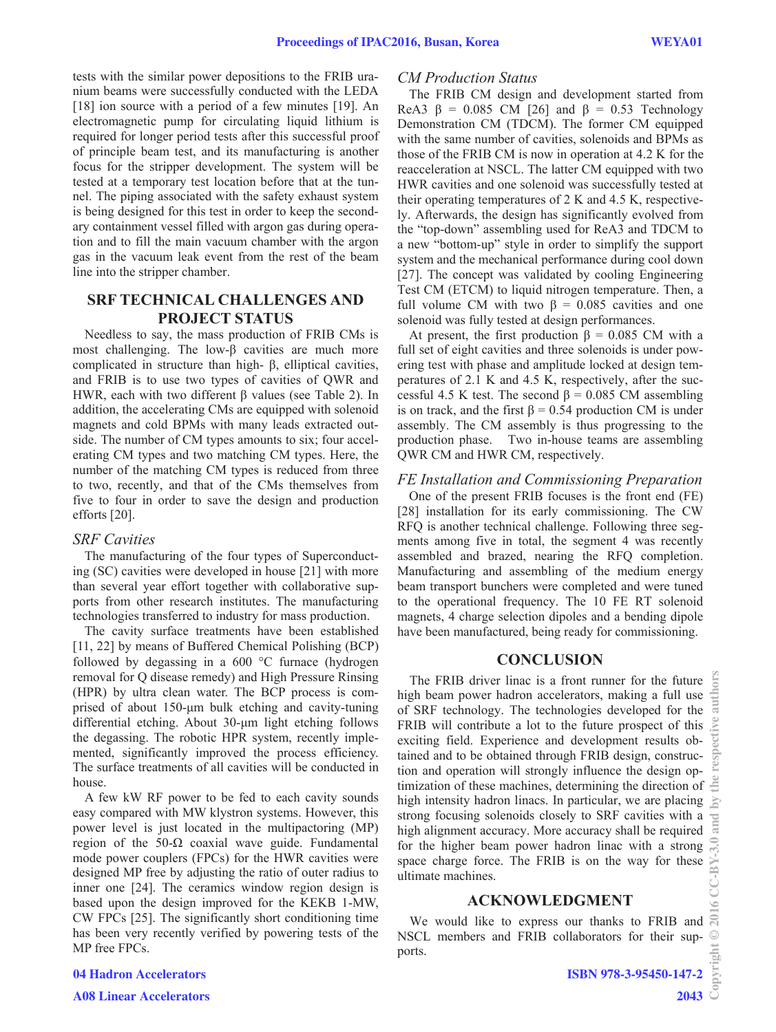tests with the similar power depositions to the FRIB uranium beams were successfully conducted with the LEDA [18] ion source with a period of a few minutes [19]. An electromagnetic pump for circulating liquid lithium is required for longer period tests after this successful proof of principle beam test, and its manufacturing is another focus for the stripper development. The system will be tested at a temporary test location before that at the tunnel. The piping associated with the safety exhaust system is being designed for this test in order to keep the secondary containment vessel filled with argon gas during operation and to fill the main vacuum chamber with the argon gas in the vacuum leak event from the rest of the beam line into the stripper chamber.

## **SRF TECHNICAL CHALLENGES AND PROJECT STATUS**

Needless to say, the mass production of FRIB CMs is most challenging. The low- $\beta$  cavities are much more complicated in structure than high- $\beta$ , elliptical cavities, and FRIB is to use two types of cavities of QWR and HWR, each with two different  $\beta$  values (see Table 2). In addition, the accelerating CMs are equipped with solenoid magnets and cold BPMs with many leads extracted outside. The number of CM types amounts to six; four accelerating CM types and two matching CM types. Here, the number of the matching CM types is reduced from three to two, recently, and that of the CMs themselves from five to four in order to save the design and production efforts [20].

#### *SRF Cavities*

The manufacturing of the four types of Superconducting (SC) cavities were developed in house [21] with more than several year effort together with collaborative supports from other research institutes. The manufacturing technologies transferred to industry for mass production.

The cavity surface treatments have been established [11, 22] by means of Buffered Chemical Polishing (BCP) followed by degassing in a  $600 \degree C$  furnace (hydrogen removal for Q disease remedy) and High Pressure Rinsing (HPR) by ultra clean water. The BCP process is comprised of about 150-µm bulk etching and cavity-tuning differential etching. About 30-µm light etching follows the degassing. The robotic HPR system, recently implemented, significantly improved the process efficiency. The surface treatments of all cavities will be conducted in house.

A few kW RF power to be fed to each cavity sounds easy compared with MW klystron systems. However, this power level is just located in the multipactoring (MP) region of the  $50-\Omega$  coaxial wave guide. Fundamental mode power couplers (FPCs) for the HWR cavities were designed MP free by adjusting the ratio of outer radius to inner one [24]. The ceramics window region design is based upon the design improved for the KEKB 1-MW, CW FPCs [25]. The significantly short conditioning time has been very recently verified by powering tests of the MP free FPCs.

#### *CM Production Status*

The FRIB CM design and development started from ReA3  $\beta$  = 0.085 CM [26] and  $\beta$  = 0.53 Technology Demonstration CM (TDCM). The former CM equipped with the same number of cavities, solenoids and BPMs as those of the FRIB CM is now in operation at 4.2 K for the reacceleration at NSCL. The latter CM equipped with two HWR cavities and one solenoid was successfully tested at their operating temperatures of 2 K and 4.5 K, respectively. Afterwards, the design has significantly evolved from the "top-down" assembling used for ReA3 and TDCM to a new "bottom-up" style in order to simplify the support system and the mechanical performance during cool down [27]. The concept was validated by cooling Engineering Test CM (ETCM) to liquid nitrogen temperature. Then, a full volume CM with two  $\beta$  = 0.085 cavities and one solenoid was fully tested at design performances.

At present, the first production  $\beta = 0.085$  CM with a full set of eight cavities and three solenoids is under powering test with phase and amplitude locked at design temperatures of 2.1 K and 4.5 K, respectively, after the successful 4.5 K test. The second  $\beta$  = 0.085 CM assembling is on track, and the first  $\beta = 0.54$  production CM is under assembly. The CM assembly is thus progressing to the production phase. Two in-house teams are assembling QWR CM and HWR CM, respectively.

## *FE Installation and Commissioning Preparation*

One of the present FRIB focuses is the front end (FE) [28] installation for its early commissioning. The CW RFQ is another technical challenge. Following three segments among five in total, the segment 4 was recently assembled and brazed, nearing the RFQ completion. Manufacturing and assembling of the medium energy beam transport bunchers were completed and were tuned to the operational frequency. The 10 FE RT solenoid magnets, 4 charge selection dipoles and a bending dipole have been manufactured, being ready for commissioning.

### **CONCLUSION**

The FRIB driver linac is a front runner for the future high beam power hadron accelerators, making a full use of SRF technology. The technologies developed for the FRIB will contribute a lot to the future prospect of this exciting field. Experience and development results obtained and to be obtained through FRIB design, construction and operation will strongly influence the design optimization of these machines, determining the direction of high intensity hadron linacs. In particular, we are placing strong focusing solenoids closely to SRF cavities with a high alignment accuracy. More accuracy shall be required for the higher beam power hadron linac with a strong space charge force. The FRIB is on the way for these ultimate machines.

### **ACKNOWLEDGMENT**

We would like to express our thanks to FRIB and NSCL members and FRIB collaborators for their supports.